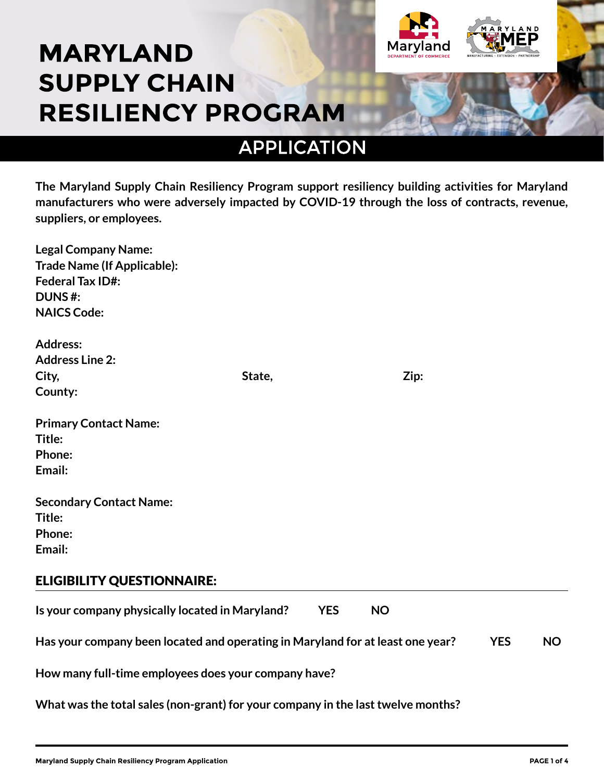## **MARYLAND SUPPLY CHAIN RESILIENCY PROGRAM**



Maryland

**The Maryland Supply Chain Resiliency Program support resiliency building activities for Maryland manufacturers who were adversely impacted by COVID-19 through the loss of contracts, revenue, suppliers, or employees.** 

| State,                                                                                       |            |           |  |           |  |
|----------------------------------------------------------------------------------------------|------------|-----------|--|-----------|--|
|                                                                                              |            |           |  |           |  |
|                                                                                              |            |           |  |           |  |
|                                                                                              |            |           |  |           |  |
|                                                                                              |            |           |  |           |  |
|                                                                                              |            |           |  |           |  |
|                                                                                              |            |           |  |           |  |
|                                                                                              |            |           |  |           |  |
|                                                                                              |            |           |  |           |  |
|                                                                                              |            |           |  |           |  |
|                                                                                              |            |           |  |           |  |
| Is your company physically located in Maryland?                                              | <b>YES</b> | <b>NO</b> |  |           |  |
| Has your company been located and operating in Maryland for at least one year?<br><b>YES</b> |            |           |  | <b>NO</b> |  |
| How many full-time employees does your company have?                                         |            |           |  |           |  |
| What was the total sales (non-grant) for your company in the last twelve months?             |            |           |  |           |  |
|                                                                                              |            |           |  | Zip:      |  |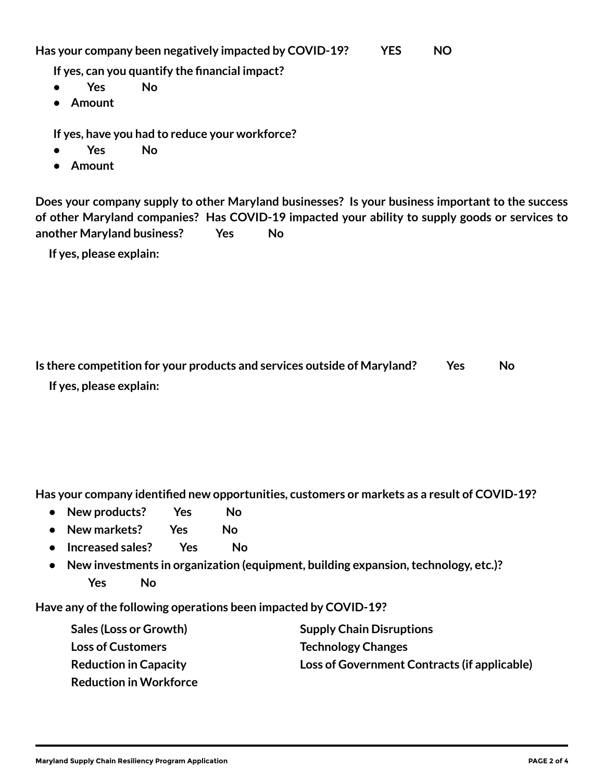**Has your company been negatively impacted by COVID-19? YES NO**

**If yes, can you quantify the financial impact?**

- **Yes No**
- **• Amount**

**If yes, have you had to reduce your workforce?**

- **Yes No**
- **• Amount**

**Does your company supply to other Maryland businesses? Is your business important to the success of other Maryland companies? Has COVID-19 impacted your ability to supply goods or services to another Maryland business? Yes No**

**If yes, please explain:**

| Is there competition for your products and services outside of Maryland? | Yes | No. |
|--------------------------------------------------------------------------|-----|-----|
| If yes, please explain:                                                  |     |     |

**Has your company identified new opportunities, customers or markets as a result of COVID-19?**

- **New products? Yes No**
- **New markets? Yes No**
- **Increased sales? Yes No**
- **New investments in organization (equipment, building expansion, technology, etc.)? Yes No**

**Have any of the following operations been impacted by COVID-19?**

| <b>Sales (Loss or Growth)</b> | <b>Supply Chain Disruptions</b>              |
|-------------------------------|----------------------------------------------|
| <b>Loss of Customers</b>      | <b>Technology Changes</b>                    |
| <b>Reduction in Capacity</b>  | Loss of Government Contracts (if applicable) |
| <b>Reduction in Workforce</b> |                                              |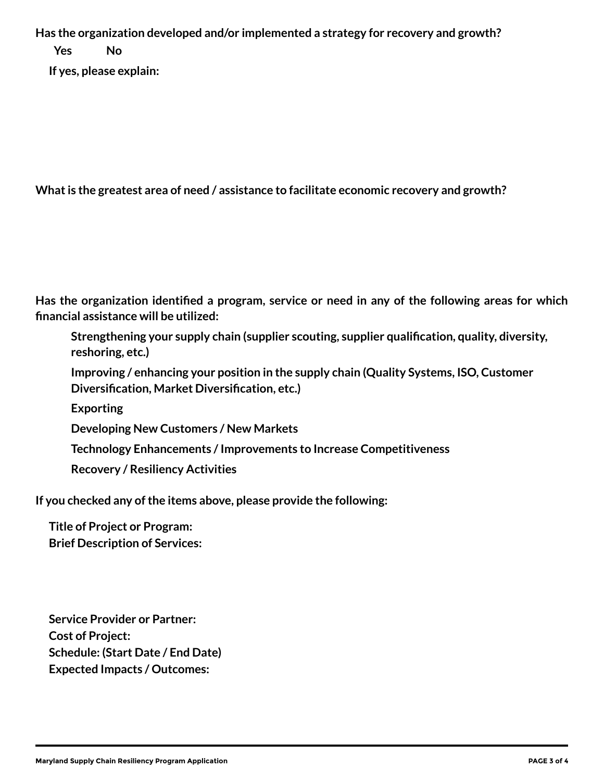**Has the organization developed and/or implemented a strategy for recovery and growth? Yes No If yes, please explain:**

**What is the greatest area of need / assistance to facilitate economic recovery and growth?**

**Has the organization identified a program, service or need in any of the following areas for which financial assistance will be utilized:**

**Strengthening your supply chain (supplier scouting, supplier qualification, quality, diversity, reshoring, etc.)**

**Improving / enhancing your position in the supply chain (Quality Systems, ISO, Customer Diversification, Market Diversification, etc.)**

**Exporting**

**Developing New Customers / New Markets**

**Technology Enhancements / Improvements to Increase Competitiveness**

**Recovery / Resiliency Activities**

**If you checked any of the items above, please provide the following:**

**Title of Project or Program: Brief Description of Services:**

**Service Provider or Partner: Cost of Project: Schedule: (Start Date / End Date) Expected Impacts / Outcomes:**